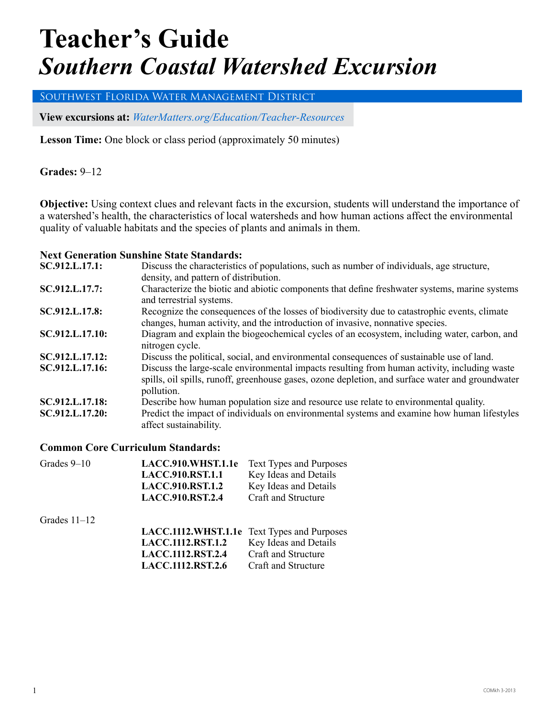# **Teacher's Guide** *Southern Coastal Watershed Excursion*

Southwest Florida Water Management District

**View excursions at:** *WaterMatters.org/[Education/Teacher-Resources](https://www.swfwmd.state.fl.us/residents/education/teacher-resources)*

**Lesson Time:** One block or class period (approximately 50 minutes)

**Grades: 9–12** 

**Objective:** Using context clues and relevant facts in the excursion, students will understand the importance of a watershed's health, the characteristics of local watersheds and how human actions affect the environmental quality of valuable habitats and the species of plants and animals in them.

#### **Next Generation Sunshine State Standards:**

| SC.912.L.17.1:  | Discuss the characteristics of populations, such as number of individuals, age structure,                                                                                                                      |
|-----------------|----------------------------------------------------------------------------------------------------------------------------------------------------------------------------------------------------------------|
|                 | density, and pattern of distribution.                                                                                                                                                                          |
| SC.912.L.17.7:  | Characterize the biotic and abiotic components that define freshwater systems, marine systems<br>and terrestrial systems.                                                                                      |
| SC.912.L.17.8:  | Recognize the consequences of the losses of biodiversity due to catastrophic events, climate<br>changes, human activity, and the introduction of invasive, nonnative species.                                  |
| SC.912.L.17.10: | Diagram and explain the biogeochemical cycles of an ecosystem, including water, carbon, and<br>nitrogen cycle.                                                                                                 |
| SC.912.L.17.12: | Discuss the political, social, and environmental consequences of sustainable use of land.                                                                                                                      |
| SC.912.L.17.16: | Discuss the large-scale environmental impacts resulting from human activity, including waste<br>spills, oil spills, runoff, greenhouse gases, ozone depletion, and surface water and groundwater<br>pollution. |
| SC.912.L.17.18: | Describe how human population size and resource use relate to environmental quality.                                                                                                                           |
| SC.912.L.17.20: | Predict the impact of individuals on environmental systems and examine how human lifestyles<br>affect sustainability.                                                                                          |

#### **Common Core Curriculum Standards:**

| Grades 9-10    | LACC.910.WHST.1.1e                          | <b>Text Types and Purposes</b> |
|----------------|---------------------------------------------|--------------------------------|
|                | <b>LACC.910.RST.1.1</b>                     | Key Ideas and Details          |
|                | <b>LACC.910.RST.1.2</b>                     | Key Ideas and Details          |
|                | <b>LACC.910.RST.2.4</b>                     | Craft and Structure            |
| Grades $11-12$ |                                             |                                |
|                | LACC.1112.WHST.1.1e Text Types and Purposes |                                |
|                | <b>LACC.1112.RST.1.2</b>                    | Key Ideas and Details          |
|                | <b>LACC.1112.RST.2.4</b>                    | Craft and Structure            |
|                | <b>LACC.1112.RST.2.6</b>                    | Craft and Structure            |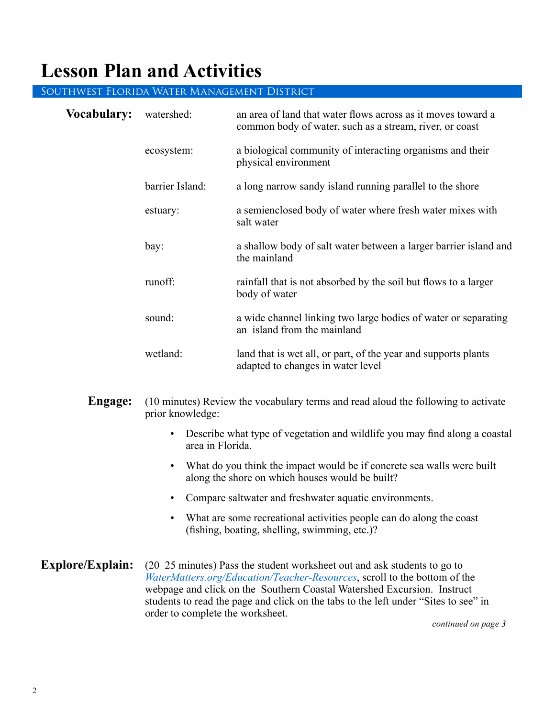### **Lesson Plan and Activities**

#### Southwest Florida Water Management District

| <b>Vocabulary:</b> | watershed:      | an area of land that water flows across as it moves toward a<br>common body of water, such as a stream, river, or coast |
|--------------------|-----------------|-------------------------------------------------------------------------------------------------------------------------|
|                    | ecosystem:      | a biological community of interacting organisms and their<br>physical environment                                       |
|                    | barrier Island: | a long narrow sandy island running parallel to the shore                                                                |
|                    | estuary:        | a semienclosed body of water where fresh water mixes with<br>salt water                                                 |
|                    | bay:            | a shallow body of salt water between a larger barrier island and<br>the mainland                                        |
|                    | runoff:         | rainfall that is not absorbed by the soil but flows to a larger<br>body of water                                        |
|                    | sound:          | a wide channel linking two large bodies of water or separating<br>an island from the mainland                           |
|                    | wetland:        | land that is wet all, or part, of the year and supports plants<br>adapted to changes in water level                     |

- **Engage:** (10 minutes) Review the vocabulary terms and read aloud the following to activate prior knowledge:
	- Describe what type of vegetation and wildlife you may find along a coastal area in Florida.
	- What do you think the impact would be if concrete sea walls were built along the shore on which houses would be built?
	- Compare saltwater and freshwater aquatic environments.
	- What are some recreational activities people can do along the coast (fishing, boating, shelling, swimming, etc.)?
- **Explore/Explain:** (20–25 minutes) Pass the student worksheet out and ask students to go to *WaterMatters.org/[Education/Teacher-Resources](https://www.swfwmd.state.fl.us/residents/education/teacher-resources)*, scroll to the bottom of the webpage and click on the Southern Coastal Watershed Excursion. Instruct students to read the page and click on the tabs to the left under "Sites to see" in order to complete the worksheet.

*continued on page 3*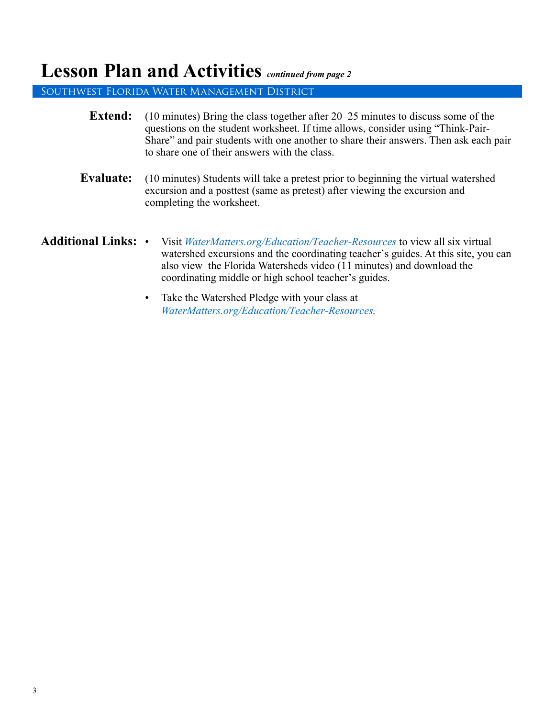### **Lesson Plan and Activities** *continued from page 2*

Southwest Florida Water Management District

| <b>Extend:</b>             | $(10 \text{ minutes})$ Bring the class together after 20–25 minutes to discuss some of the<br>questions on the student worksheet. If time allows, consider using "Think-Pair-<br>Share" and pair students with one another to share their answers. Then ask each pair<br>to share one of their answers with the class. |
|----------------------------|------------------------------------------------------------------------------------------------------------------------------------------------------------------------------------------------------------------------------------------------------------------------------------------------------------------------|
| <b>Evaluate:</b>           | (10 minutes) Students will take a pretest prior to beginning the virtual watershed<br>excursion and a posttest (same as pretest) after viewing the excursion and<br>completing the worksheet.                                                                                                                          |
| <b>Additional Links: •</b> | Visit <i>WaterMatters.org/Education/Teacher-Resources</i> to view all six virtual<br>watershed excursions and the coordinating teacher's guides. At this site, you can<br>also view the Florida Watersheds video (11 minutes) and download the<br>coordinating middle or high school teacher's guides.                 |

• Take the Watershed Pledge with your class at *WaterMatters.org/[Education/Teacher-Resources](https://www.swfwmd.state.fl.us/residents/education/teacher-resources).*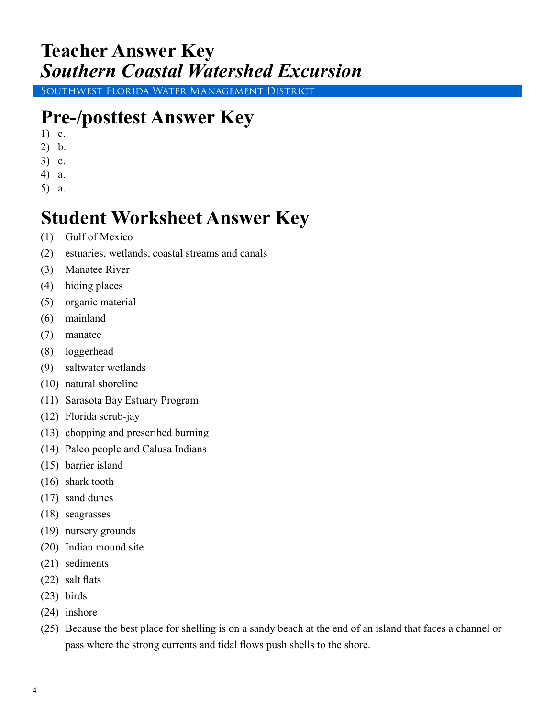### **Teacher Answer Key** *Southern Coastal Watershed Excursion*

Southwest Florida Water Management District

# **Pre-/posttest Answer Key**

- 1) c.
- 2) b.
- 3) c.
- 4) a.
- 5) a.

## **Student Worksheet Answer Key**

- (1) Gulf of Mexico
- (2) estuaries, wetlands, coastal streams and canals
- (3) Manatee River
- (4) hiding places
- (5) organic material
- (6) mainland
- (7) manatee
- (8) loggerhead
- (9) saltwater wetlands
- (10) natural shoreline
- (11) Sarasota Bay Estuary Program
- (12) Florida scrub-jay
- (13) chopping and prescribed burning
- (14) Paleo people and Calusa Indians
- (15) barrier island
- (16) shark tooth
- (17) sand dunes
- (18) seagrasses
- (19) nursery grounds
- (20) Indian mound site
- (21) sediments
- (22) salt flats
- (23) birds
- (24) inshore
- (25) Because the best place for shelling is on a sandy beach at the end of an island that faces a channel or pass where the strong currents and tidal flows push shells to the shore.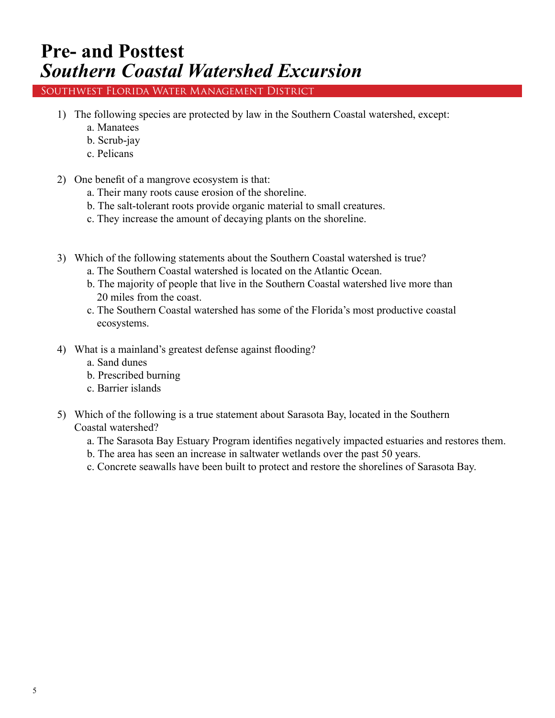### **Pre- and Posttest** *Southern Coastal Watershed Excursion*

Southwest Florida Water Management District

- 1) The following species are protected by law in the Southern Coastal watershed, except:
	- a. Manatees
	- b. Scrub-jay
	- c. Pelicans
- 2) One benefit of a mangrove ecosystem is that:
	- a. Their many roots cause erosion of the shoreline.
	- b. The salt-tolerant roots provide organic material to small creatures.
	- c. They increase the amount of decaying plants on the shoreline.
- 3) Which of the following statements about the Southern Coastal watershed is true?
	- a. The Southern Coastal watershed is located on the Atlantic Ocean.
	- b. The majority of people that live in the Southern Coastal watershed live more than 20 miles from the coast.
	- c. The Southern Coastal watershed has some of the Florida's most productive coastal ecosystems.
- 4) What is a mainland's greatest defense against flooding?
	- a. Sand dunes
	- b. Prescribed burning
	- c. Barrier islands
- 5) Which of the following is a true statement about Sarasota Bay, located in the Southern Coastal watershed?
	- a. The Sarasota Bay Estuary Program identifies negatively impacted estuaries and restores them.
	- b. The area has seen an increase in saltwater wetlands over the past 50 years.
	- c. Concrete seawalls have been built to protect and restore the shorelines of Sarasota Bay.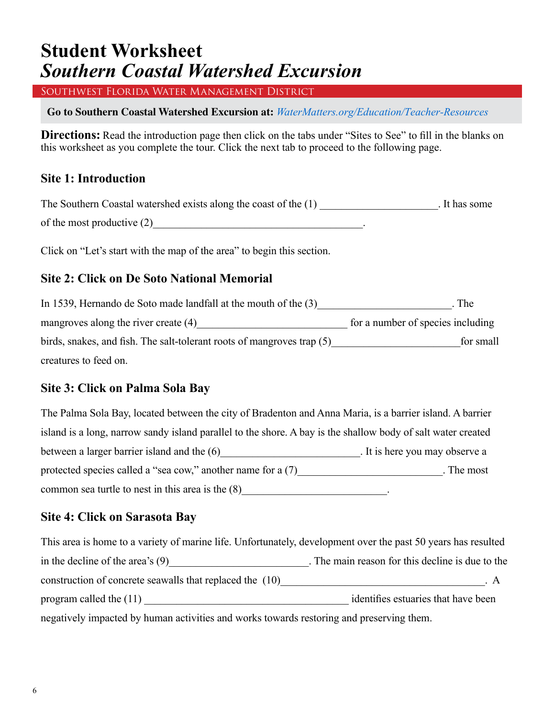### **Student Worksheet** *Southern Coastal Watershed Excursion*

Southwest Florida Water Management District

**Go to Southern Coastal Watershed Excursion at:** *WaterMatters.org/[Education/Teacher-Resources](https://www.swfwmd.state.fl.us/residents/education/teacher-resources)*

**Directions:** Read the introduction page then click on the tabs under "Sites to See" to fill in the blanks on this worksheet as you complete the tour. Click the next tab to proceed to the following page.

#### **Site 1: Introduction**

The Southern Coastal watershed exists along the coast of the (1) \_\_\_\_\_\_\_\_\_\_\_\_\_\_\_\_\_\_\_. It has some of the most productive  $(2)$ 

Click on "Let's start with the map of the area" to begin this section.

### **Site 2: Click on De Soto National Memorial**

| In 1539, Hernando de Soto made landfall at the mouth of the $(3)$      | . The                             |
|------------------------------------------------------------------------|-----------------------------------|
| mangroves along the river create $(4)$                                 | for a number of species including |
| birds, snakes, and fish. The salt-tolerant roots of mangroves trap (5) | for small                         |
| creatures to feed on.                                                  |                                   |

### **Site 3: Click on Palma Sola Bay**

| The Palma Sola Bay, located between the city of Bradenton and Anna Maria, is a barrier island. A barrier     |                                |
|--------------------------------------------------------------------------------------------------------------|--------------------------------|
| island is a long, narrow sandy island parallel to the shore. A bay is the shallow body of salt water created |                                |
| between a larger barrier island and the (6)                                                                  | . It is here you may observe a |
| protected species called a "sea cow," another name for a (7)                                                 | . The most                     |
| common sea turtle to nest in this area is the $(8)$                                                          |                                |

#### **Site 4: Click on Sarasota Bay**

| This area is home to a variety of marine life. Unfortunately, development over the past 50 years has resulted |                                                  |
|---------------------------------------------------------------------------------------------------------------|--------------------------------------------------|
| in the decline of the area's $(9)$                                                                            | . The main reason for this decline is due to the |
| construction of concrete seawalls that replaced the (10)                                                      | . А                                              |
| program called the $(11)$                                                                                     | identifies estuaries that have been              |
| negatively impacted by human activities and works towards restoring and preserving them.                      |                                                  |